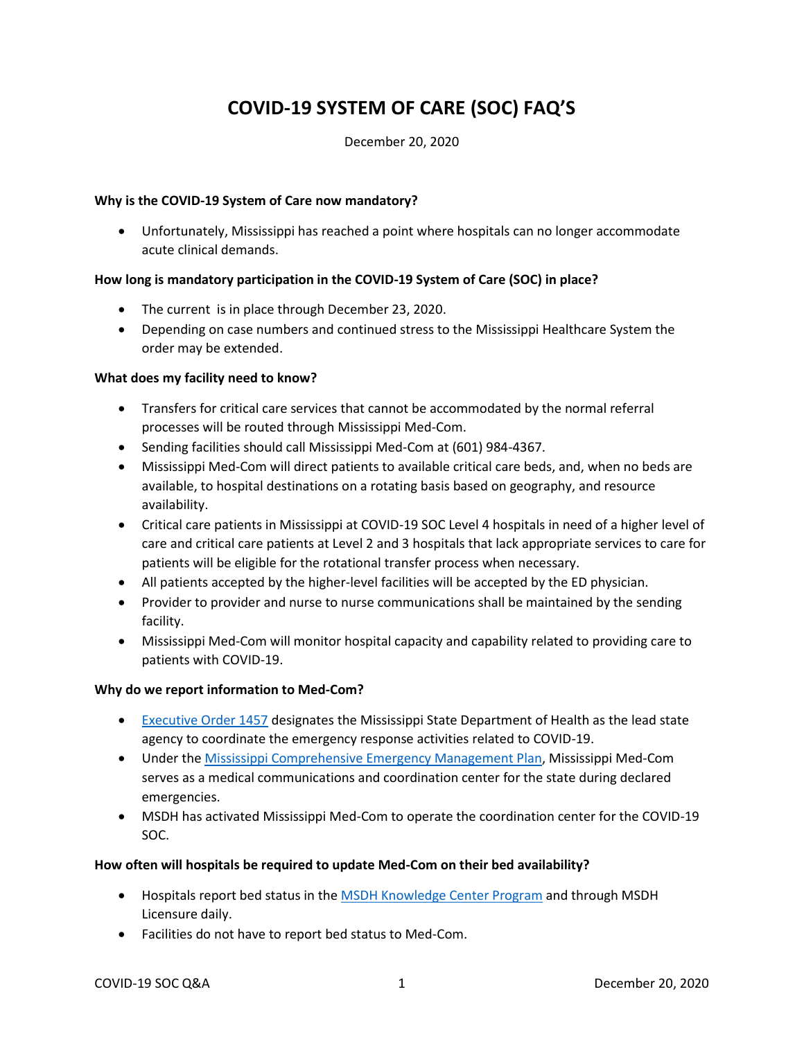# **COVID-19 SYSTEM OF CARE (SOC) FAQ'S**

#### December 20, 2020

#### **Why is the COVID-19 System of Care now mandatory?**

• Unfortunately, Mississippi has reached a point where hospitals can no longer accommodate acute clinical demands.

#### **How long is mandatory participation in the COVID-19 System of Care (SOC) in place?**

- The current is in place through December 23, 2020.
- Depending on case numbers and continued stress to the Mississippi Healthcare System the order may be extended.

#### **What does my facility need to know?**

- Transfers for critical care services that cannot be accommodated by the normal referral processes will be routed through Mississippi Med-Com.
- Sending facilities should call Mississippi Med-Com at (601) 984-4367.
- Mississippi Med-Com will direct patients to available critical care beds, and, when no beds are available, to hospital destinations on a rotating basis based on geography, and resource availability.
- Critical care patients in Mississippi at COVID-19 SOC Level 4 hospitals in need of a higher level of care and critical care patients at Level 2 and 3 hospitals that lack appropriate services to care for patients will be eligible for the rotational transfer process when necessary.
- All patients accepted by the higher-level facilities will be accepted by the ED physician.
- Provider to provider and nurse to nurse communications shall be maintained by the sending facility.
- Mississippi Med-Com will monitor hospital capacity and capability related to providing care to patients with COVID-19.

#### **Why do we report information to Med-Com?**

- [Executive Order 1457](https://www.sos.ms.gov/content/executiveorders/ExecutiveOrders/1457.pdf) designates the Mississippi State Department of Health as the lead state agency to coordinate the emergency response activities related to COVID-19.
- Under the [Mississippi Comprehensive Emergency Management Plan,](https://68r.d9e.myftpupload.com/wp-content/uploads/2020/04/2020-ESF-8-Public-Health-and-Medical-Services-Annex.pdf) Mississippi Med-Com serves as a medical communications and coordination center for the state during declared emergencies.
- MSDH has activated Mississippi Med-Com to operate the coordination center for the COVID-19 SOC.

#### **How often will hospitals be required to update Med-Com on their bed availability?**

- Hospitals report bed status in th[e MSDH Knowledge Center Program](https://msdh-em.org/Account/LogOn?skipUsage=Y) and through MSDH Licensure daily.
- Facilities do not have to report bed status to Med-Com.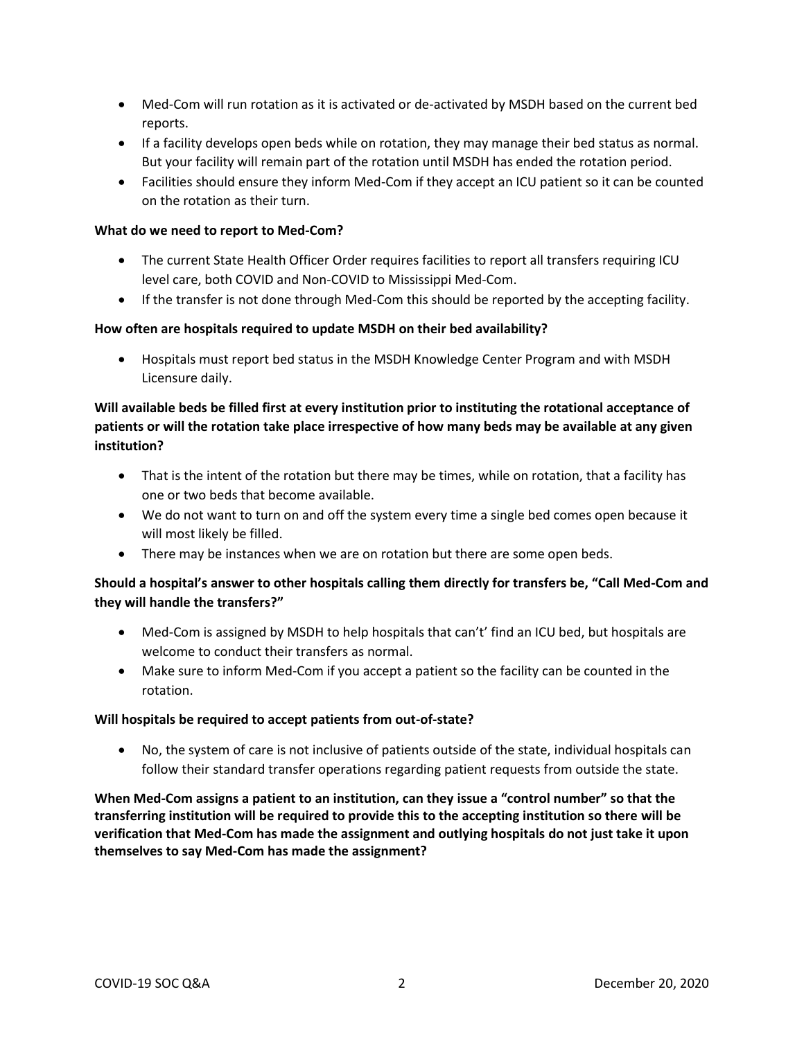- Med-Com will run rotation as it is activated or de-activated by MSDH based on the current bed reports.
- If a facility develops open beds while on rotation, they may manage their bed status as normal. But your facility will remain part of the rotation until MSDH has ended the rotation period.
- Facilities should ensure they inform Med-Com if they accept an ICU patient so it can be counted on the rotation as their turn.

#### **What do we need to report to Med-Com?**

- The current State Health Officer Order requires facilities to report all transfers requiring ICU level care, both COVID and Non-COVID to Mississippi Med-Com.
- If the transfer is not done through Med-Com this should be reported by the accepting facility.

## **How often are hospitals required to update MSDH on their bed availability?**

• Hospitals must report bed status in the MSDH Knowledge Center Program and with MSDH Licensure daily.

# **Will available beds be filled first at every institution prior to instituting the rotational acceptance of patients or will the rotation take place irrespective of how many beds may be available at any given institution?**

- That is the intent of the rotation but there may be times, while on rotation, that a facility has one or two beds that become available.
- We do not want to turn on and off the system every time a single bed comes open because it will most likely be filled.
- There may be instances when we are on rotation but there are some open beds.

## **Should a hospital's answer to other hospitals calling them directly for transfers be, "Call Med-Com and they will handle the transfers?"**

- Med-Com is assigned by MSDH to help hospitals that can't' find an ICU bed, but hospitals are welcome to conduct their transfers as normal.
- Make sure to inform Med-Com if you accept a patient so the facility can be counted in the rotation.

#### **Will hospitals be required to accept patients from out-of-state?**

• No, the system of care is not inclusive of patients outside of the state, individual hospitals can follow their standard transfer operations regarding patient requests from outside the state.

**When Med-Com assigns a patient to an institution, can they issue a "control number" so that the transferring institution will be required to provide this to the accepting institution so there will be verification that Med-Com has made the assignment and outlying hospitals do not just take it upon themselves to say Med-Com has made the assignment?**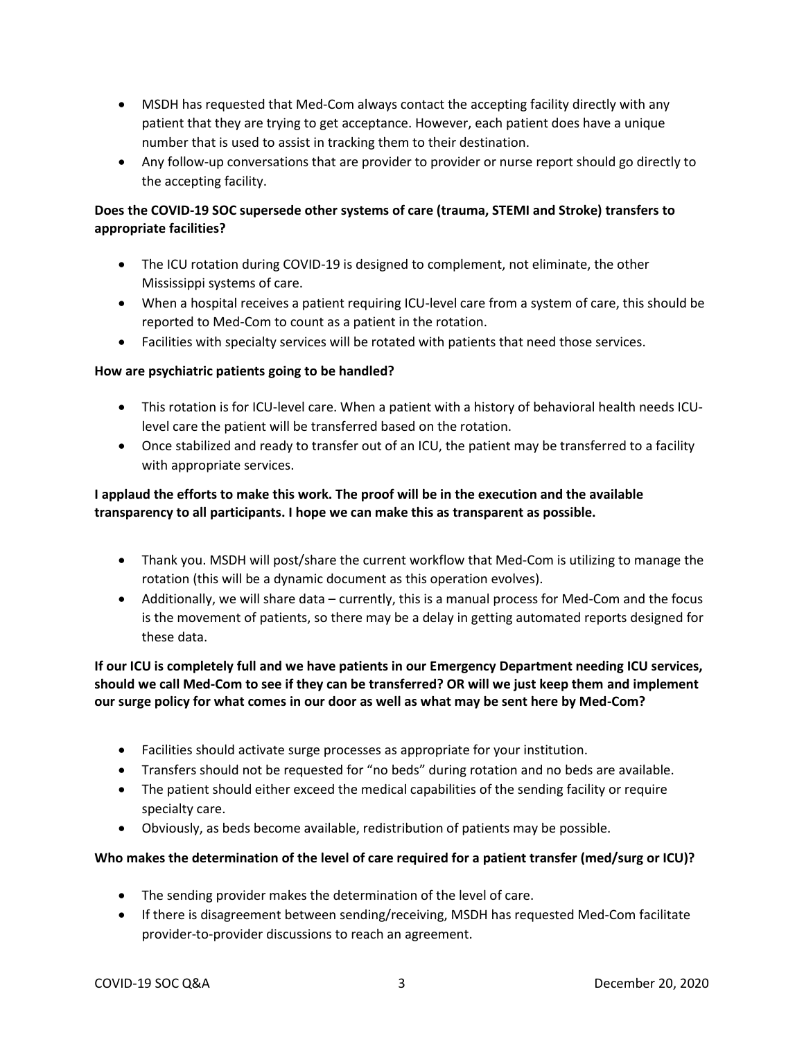- MSDH has requested that Med-Com always contact the accepting facility directly with any patient that they are trying to get acceptance. However, each patient does have a unique number that is used to assist in tracking them to their destination.
- Any follow-up conversations that are provider to provider or nurse report should go directly to the accepting facility.

# **Does the COVID-19 SOC supersede other systems of care (trauma, STEMI and Stroke) transfers to appropriate facilities?**

- The ICU rotation during COVID-19 is designed to complement, not eliminate, the other Mississippi systems of care.
- When a hospital receives a patient requiring ICU-level care from a system of care, this should be reported to Med-Com to count as a patient in the rotation.
- Facilities with specialty services will be rotated with patients that need those services.

## **How are psychiatric patients going to be handled?**

- This rotation is for ICU-level care. When a patient with a history of behavioral health needs ICUlevel care the patient will be transferred based on the rotation.
- Once stabilized and ready to transfer out of an ICU, the patient may be transferred to a facility with appropriate services.

# **I applaud the efforts to make this work. The proof will be in the execution and the available transparency to all participants. I hope we can make this as transparent as possible.**

- Thank you. MSDH will post/share the current workflow that Med-Com is utilizing to manage the rotation (this will be a dynamic document as this operation evolves).
- Additionally, we will share data currently, this is a manual process for Med-Com and the focus is the movement of patients, so there may be a delay in getting automated reports designed for these data.

# **If our ICU is completely full and we have patients in our Emergency Department needing ICU services, should we call Med-Com to see if they can be transferred? OR will we just keep them and implement our surge policy for what comes in our door as well as what may be sent here by Med-Com?**

- Facilities should activate surge processes as appropriate for your institution.
- Transfers should not be requested for "no beds" during rotation and no beds are available.
- The patient should either exceed the medical capabilities of the sending facility or require specialty care.
- Obviously, as beds become available, redistribution of patients may be possible.

## **Who makes the determination of the level of care required for a patient transfer (med/surg or ICU)?**

- The sending provider makes the determination of the level of care.
- If there is disagreement between sending/receiving, MSDH has requested Med-Com facilitate provider-to-provider discussions to reach an agreement.